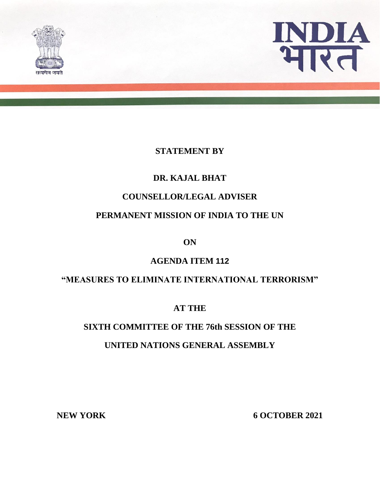



#### **STATEMENT BY**

# **DR. KAJAL BHAT**

#### **COUNSELLOR/LEGAL ADVISER**

# **PERMANENT MISSION OF INDIA TO THE UN**

**ON**

## **AGENDA ITEM 112**

## **"MEASURES TO ELIMINATE INTERNATIONAL TERRORISM"**

## **AT THE**

# **SIXTH COMMITTEE OF THE 76th SESSION OF THE**

## **UNITED NATIONS GENERAL ASSEMBLY**

NEW YORK 6 OCTOBER 2021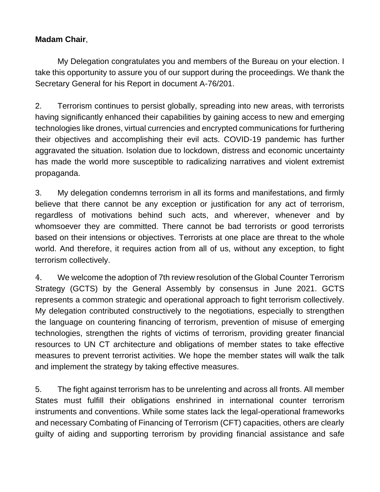#### **Madam Chair**,

My Delegation congratulates you and members of the Bureau on your election. I take this opportunity to assure you of our support during the proceedings. We thank the Secretary General for his Report in document A-76/201.

2. Terrorism continues to persist globally, spreading into new areas, with terrorists having significantly enhanced their capabilities by gaining access to new and emerging technologies like drones, virtual currencies and encrypted communications for furthering their objectives and accomplishing their evil acts. COVID-19 pandemic has further aggravated the situation. Isolation due to lockdown, distress and economic uncertainty has made the world more susceptible to radicalizing narratives and violent extremist propaganda.

3. My delegation condemns terrorism in all its forms and manifestations, and firmly believe that there cannot be any exception or justification for any act of terrorism, regardless of motivations behind such acts, and wherever, whenever and by whomsoever they are committed. There cannot be bad terrorists or good terrorists based on their intensions or objectives. Terrorists at one place are threat to the whole world. And therefore, it requires action from all of us, without any exception, to fight terrorism collectively.

4. We welcome the adoption of 7th review resolution of the Global Counter Terrorism Strategy (GCTS) by the General Assembly by consensus in June 2021. GCTS represents a common strategic and operational approach to fight terrorism collectively. My delegation contributed constructively to the negotiations, especially to strengthen the language on countering financing of terrorism, prevention of misuse of emerging technologies, strengthen the rights of victims of terrorism, providing greater financial resources to UN CT architecture and obligations of member states to take effective measures to prevent terrorist activities. We hope the member states will walk the talk and implement the strategy by taking effective measures.

5. The fight against terrorism has to be unrelenting and across all fronts. All member States must fulfill their obligations enshrined in international counter terrorism instruments and conventions. While some states lack the legal-operational frameworks and necessary Combating of Financing of Terrorism (CFT) capacities, others are clearly guilty of aiding and supporting terrorism by providing financial assistance and safe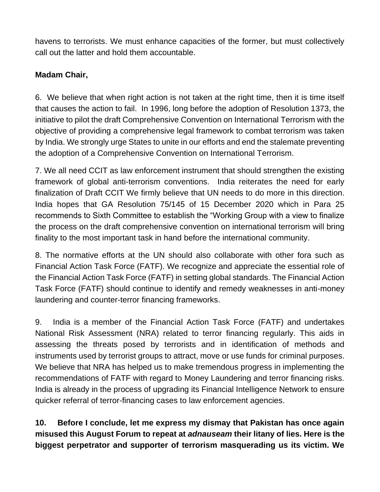havens to terrorists. We must enhance capacities of the former, but must collectively call out the latter and hold them accountable.

# **Madam Chair,**

6. We believe that when right action is not taken at the right time, then it is time itself that causes the action to fail. In 1996, long before the adoption of Resolution 1373, the initiative to pilot the draft Comprehensive Convention on International Terrorism with the objective of providing a comprehensive legal framework to combat terrorism was taken by India. We strongly urge States to unite in our efforts and end the stalemate preventing the adoption of a Comprehensive Convention on International Terrorism.

7. We all need CCIT as law enforcement instrument that should strengthen the existing framework of global anti-terrorism conventions. India reiterates the need for early finalization of Draft CCIT We firmly believe that UN needs to do more in this direction. India hopes that GA Resolution 75/145 of 15 December 2020 which in Para 25 recommends to Sixth Committee to establish the "Working Group with a view to finalize the process on the draft comprehensive convention on international terrorism will bring finality to the most important task in hand before the international community.

8. The normative efforts at the UN should also collaborate with other fora such as Financial Action Task Force (FATF). We recognize and appreciate the essential role of the Financial Action Task Force (FATF) in setting global standards. The Financial Action Task Force (FATF) should continue to identify and remedy weaknesses in anti-money laundering and counter-terror financing frameworks.

9. India is a member of the Financial Action Task Force (FATF) and undertakes National Risk Assessment (NRA) related to terror financing regularly. This aids in assessing the threats posed by terrorists and in identification of methods and instruments used by terrorist groups to attract, move or use funds for criminal purposes. We believe that NRA has helped us to make tremendous progress in implementing the recommendations of FATF with regard to Money Laundering and terror financing risks. India is already in the process of upgrading its Financial Intelligence Network to ensure quicker referral of terror-financing cases to law enforcement agencies.

**10. Before I conclude, let me express my dismay that Pakistan has once again misused this August Forum to repeat at** *adnauseam* **their litany of lies. Here is the biggest perpetrator and supporter of terrorism masquerading us its victim. We**